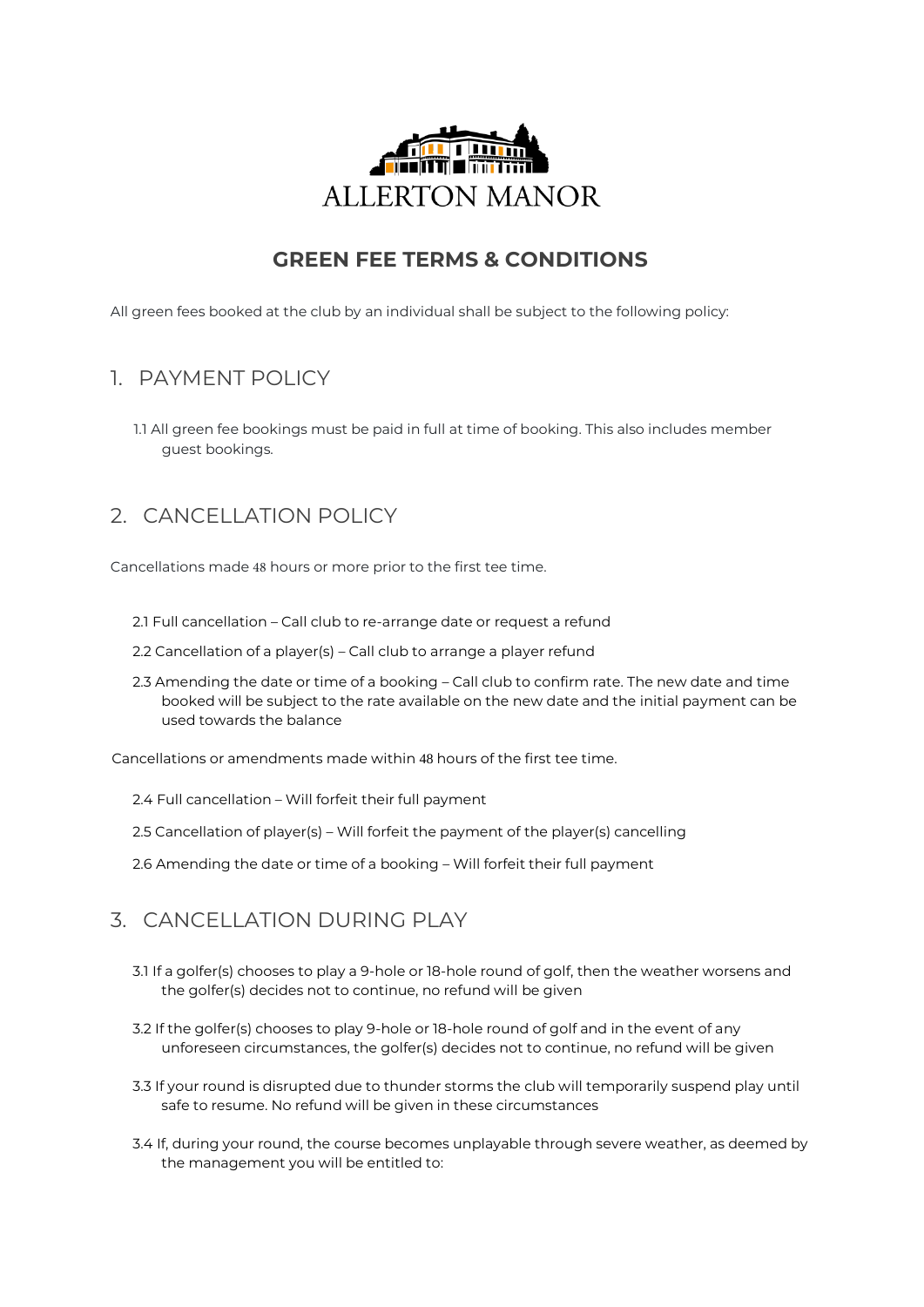

# **GREEN FEE TERMS & CONDITIONS**

All green fees booked at the club by an individual shall be subject to the following policy:

## 1. PAYMENT POLICY

1.1 All green fee bookings must be paid in full at time of booking. This also includes member guest bookings.

# 2. CANCELLATION POLICY

Cancellations made 48 hours or more prior to the first tee time.

- 2.1 Full cancellation Call club to re-arrange date or request a refund
- 2.2 Cancellation of a player(s) Call club to arrange a player refund
- 2.3 Amending the date or time of a booking Call club to confirm rate. The new date and time booked will be subject to the rate available on the new date and the initial payment can be used towards the balance

Cancellations or amendments made within 48 hours of the first tee time.

- 2.4 Full cancellation Will forfeit their full payment
- 2.5 Cancellation of player(s) Will forfeit the payment of the player(s) cancelling
- 2.6 Amending the date or time of a booking Will forfeit their full payment

### 3. CANCELLATION DURING PLAY

- 3.1 If a golfer(s) chooses to play a 9-hole or 18-hole round of golf, then the weather worsens and the golfer(s) decides not to continue, no refund will be given
- 3.2 If the golfer(s) chooses to play 9-hole or 18-hole round of golf and in the event of any unforeseen circumstances, the golfer(s) decides not to continue, no refund will be given
- 3.3 If your round is disrupted due to thunder storms the club will temporarily suspend play until safe to resume. No refund will be given in these circumstances
- 3.4 If, during your round, the course becomes unplayable through severe weather, as deemed by the management you will be entitled to: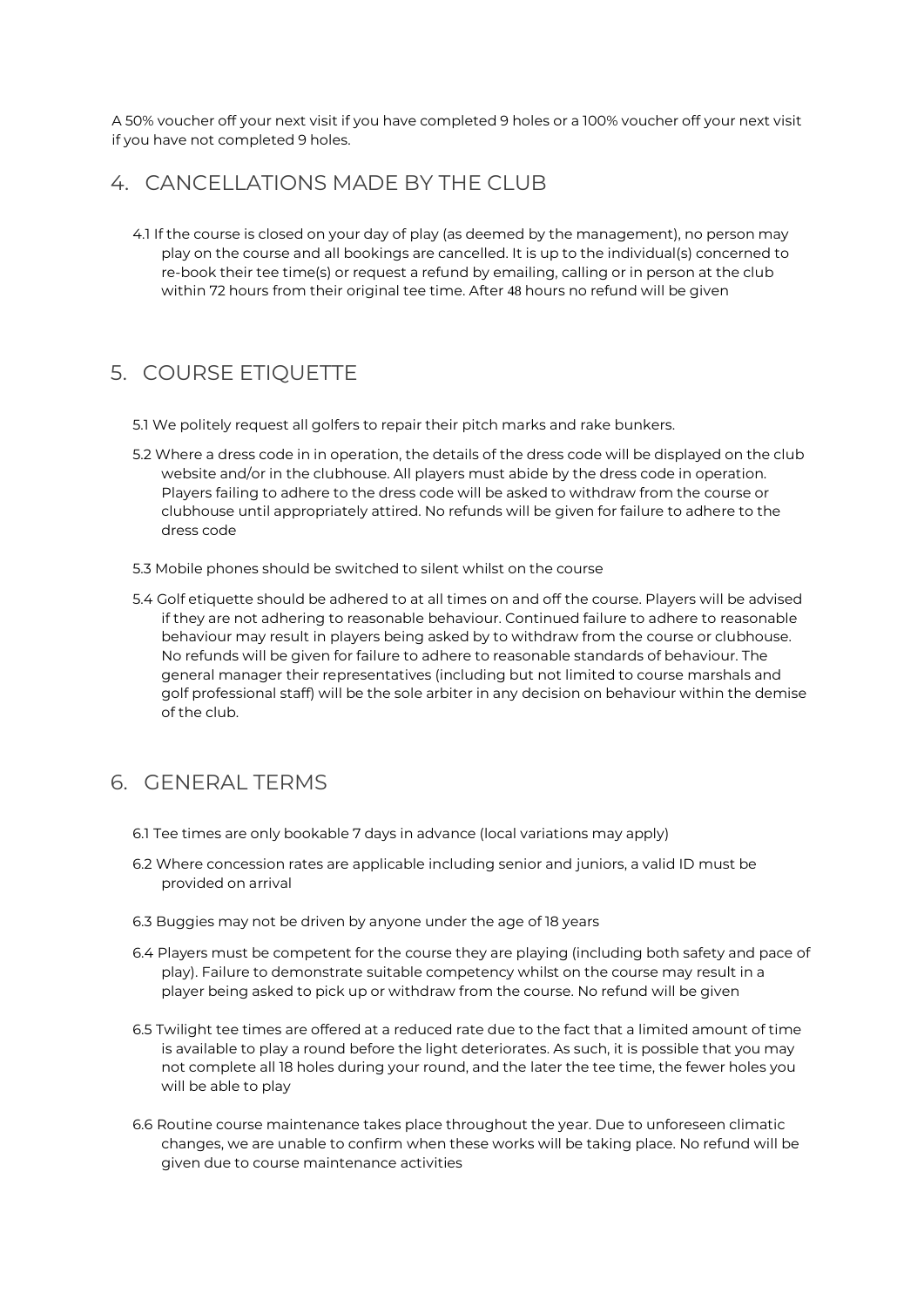A 50% voucher off your next visit if you have completed 9 holes or a 100% voucher off your next visit if you have not completed 9 holes.

#### 4 CANCELLATIONS MADE BY THE CLUB

4.1 If the course is closed on your day of play (as deemed by the management), no person may play on the course and all bookings are cancelled. It is up to the individual(s) concerned to re-book their tee time(s) or request a refund by emailing, calling or in person at the club within 72 hours from their original tee time. After 48 hours no refund will be given

## 5. COURSE ETIQUETTE

- 5.1 We politely request all golfers to repair their pitch marks and rake bunkers.
- 5.2 Where a dress code in in operation, the details of the dress code will be displayed on the club website and/or in the clubhouse. All players must abide by the dress code in operation. Players failing to adhere to the dress code will be asked to withdraw from the course or clubhouse until appropriately attired. No refunds will be given for failure to adhere to the dress code
- 5.3 Mobile phones should be switched to silent whilst on the course
- 5.4 Golf etiquette should be adhered to at all times on and off the course. Players will be advised if they are not adhering to reasonable behaviour. Continued failure to adhere to reasonable behaviour may result in players being asked by to withdraw from the course or clubhouse. No refunds will be given for failure to adhere to reasonable standards of behaviour. The general manager their representatives (including but not limited to course marshals and golf professional staff) will be the sole arbiter in any decision on behaviour within the demise of the club.

### 6. GENERAL TERMS

- 6.1 Tee times are only bookable 7 days in advance (local variations may apply)
- 6.2 Where concession rates are applicable including senior and juniors, a valid ID must be provided on arrival
- 6.3 Buggies may not be driven by anyone under the age of 18 years
- 6.4 Players must be competent for the course they are playing (including both safety and pace of play). Failure to demonstrate suitable competency whilst on the course may result in a player being asked to pick up or withdraw from the course. No refund will be given
- 6.5 Twilight tee times are offered at a reduced rate due to the fact that a limited amount of time is available to play a round before the light deteriorates. As such, it is possible that you may not complete all 18 holes during your round, and the later the tee time, the fewer holes you will be able to play
- 6.6 Routine course maintenance takes place throughout the year. Due to unforeseen climatic changes, we are unable to confirm when these works will be taking place. No refund will be given due to course maintenance activities